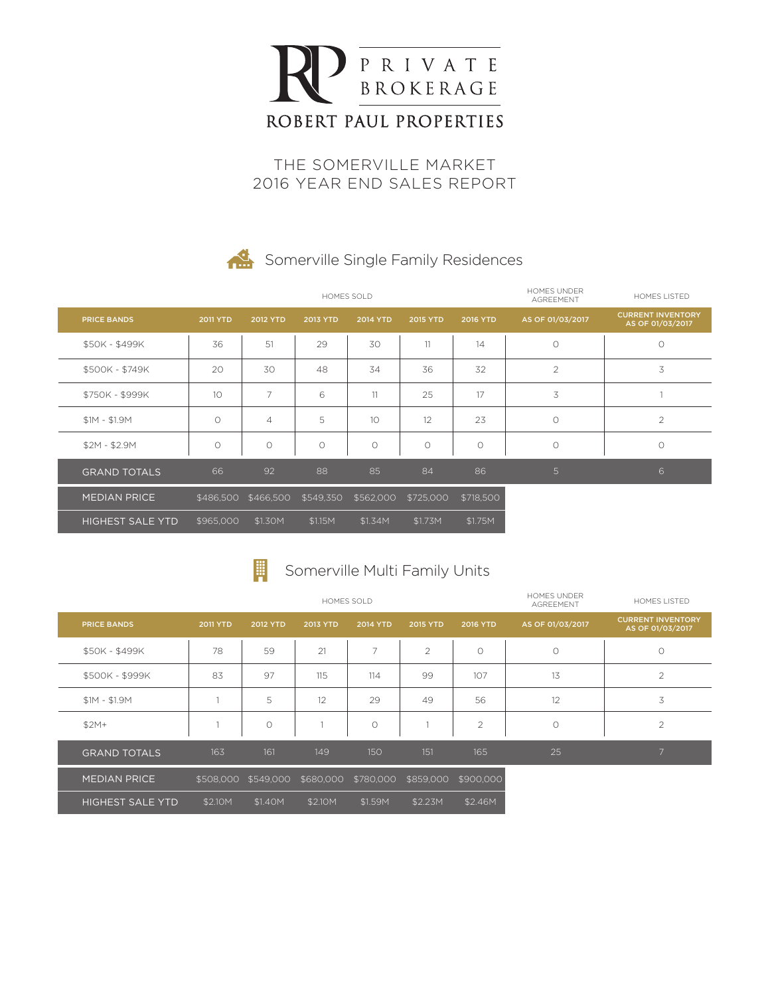

THE SOMERVILLE MARKET 2016 YEAR END SALES REPORT

# Somerville Single Family Residences

|                         |                     |                 | HOMES SOLD      | HOMES UNDER<br><b>AGREEMENT</b> | HOMES LISTED    |                     |                  |                                              |
|-------------------------|---------------------|-----------------|-----------------|---------------------------------|-----------------|---------------------|------------------|----------------------------------------------|
| <b>PRICE BANDS</b>      | <b>2011 YTD</b>     | <b>2012 YTD</b> | <b>2013 YTD</b> | <b>2014 YTD</b>                 | <b>2015 YTD</b> | <b>2016 YTD</b>     | AS OF 01/03/2017 | <b>CURRENT INVENTORY</b><br>AS OF 01/03/2017 |
| \$50K - \$499K          | 36                  | 51              | 29              | 30                              | 11              | 14                  | $\circ$          | $\circ$                                      |
| \$500K - \$749K         | 20                  | 30              | 48              | 34                              | 36              | 32                  | $\overline{2}$   | 3                                            |
| \$750K - \$999K         | 10                  | 7               | 6               | 11                              | 25              | 17                  | 3                |                                              |
| $$1M - $1.9M$           | $\circlearrowright$ | $\overline{4}$  | 5               | 10                              | 12              | 23                  | $\circ$          | $\overline{2}$                               |
| $$2M - $2.9M$           | O                   | $\circ$         | $\circ$         | $\circ$                         | $\circ$         | $\circlearrowright$ | $\circ$          | $\circ$                                      |
| <b>GRAND TOTALS</b>     | 66                  | 92              | 88              | 85                              | 84              | 86                  | $5\phantom{.}$   | 6                                            |
| <b>MEDIAN PRICE</b>     | \$486,500           | \$466,500       | \$549,350       | \$562,000                       | \$725,000       | \$718,500           |                  |                                              |
| <b>HIGHEST SALE YTD</b> | \$965,000           | \$1.30M         | \$1.15M         | \$1.34M                         | \$1.73M         | \$1.75M             |                  |                                              |

#### 圖 Somerville Multi Family Units

|                         |                 |           | HOMES SOLD | <b>HOMES UNDER</b><br><b>AGREEMENT</b> | HOMES LISTED   |                 |                  |                                              |
|-------------------------|-----------------|-----------|------------|----------------------------------------|----------------|-----------------|------------------|----------------------------------------------|
| <b>PRICE BANDS</b>      | <b>2011 YTD</b> | 2012 YTD  | 2013 YTD   | <b>2014 YTD</b>                        | 2015 YTD       | <b>2016 YTD</b> | AS OF 01/03/2017 | <b>CURRENT INVENTORY</b><br>AS OF 01/03/2017 |
| \$50K - \$499K          | 78              | 59        | 21         | 7                                      | $\overline{2}$ | $\circ$         | $\circ$          | $\circ$                                      |
| \$500K - \$999K         | 83              | 97        | 115        | 114                                    | 99             | 107             | 13               | $\overline{2}$                               |
| $$1M - $1.9M$           |                 | 5         | 12         | 29                                     | 49             | 56              | 12               | 3                                            |
| $$2M+$                  |                 | $\circ$   |            | $\circ$                                |                | 2               | $\circ$          | $\overline{2}$                               |
| <b>GRAND TOTALS</b>     | 163             | 161       | 149        | 150                                    | 151            | 165             | 25               | $\overline{7}$                               |
| <b>MEDIAN PRICE</b>     | \$508,000       | \$549,000 | \$680,000  | \$780,000                              | \$859,000      | \$900,000       |                  |                                              |
| <b>HIGHEST SALE YTD</b> | \$2.10M         | \$1.40M   | \$2.10M    | \$1.59M                                | \$2.23M        | \$2.46M         |                  |                                              |